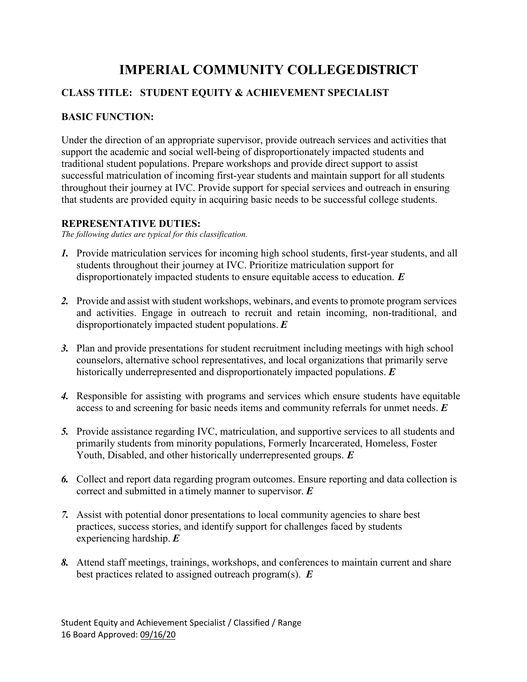# **IMPERIAL COMMUNITY COLLEGEDISTRICT**

## **CLASS TITLE: STUDENT EQUITY & ACHIEVEMENT SPECIALIST**

## **BASIC FUNCTION:**

Under the direction of an appropriate supervisor, provide outreach services and activities that support the academic and social well-being of disproportionately impacted students and traditional student populations. Prepare workshops and provide direct support to assist successful matriculation of incoming first-year students and maintain support for all students throughout their journey at IVC. Provide support for special services and outreach in ensuring that students are provided equity in acquiring basic needs to be successful college students.

## **REPRESENTATIVE DUTIES:**

*The following duties are typical for this classification.*

- *1.* Provide matriculation services for incoming high school students, first-year students, and all students throughout their journey at IVC. Prioritize matriculation support for disproportionately impacted students to ensure equitable access to education. *E*
- *2.* Provide and assist with student workshops, webinars, and events to promote program services and activities. Engage in outreach to recruit and retain incoming, non-traditional, and disproportionately impacted student populations. *E*
- *3.* Plan and provide presentations for student recruitment including meetings with high school counselors, alternative school representatives, and local organizations that primarily serve historically underrepresented and disproportionately impacted populations. *E*
- *4.* Responsible for assisting with programs and services which ensure students have equitable access to and screening for basic needs items and community referrals for unmet needs. *E*
- *5.* Provide assistance regarding IVC, matriculation, and supportive services to all students and primarily students from minority populations, Formerly Incarcerated, Homeless, Foster Youth, Disabled, and other historically underrepresented groups. *E*
- *6.* Collect and report data regarding program outcomes. Ensure reporting and data collection is correct and submitted in a timely manner to supervisor. *E*
- *7.* Assist with potential donor presentations to local community agencies to share best practices, success stories, and identify support for challenges faced by students experiencing hardship. *E*
- *8.* Attend staff meetings, trainings, workshops, and conferences to maintain current and share best practices related to assigned outreach program(s). *E*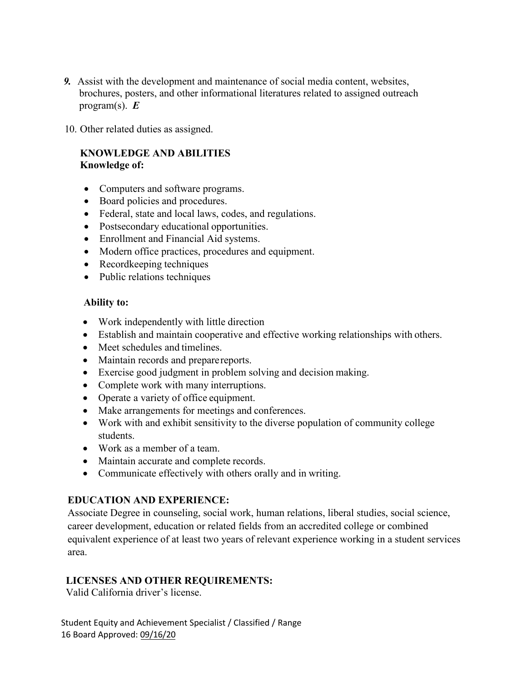- *9.* Assist with the development and maintenance of social media content, websites, brochures, posters, and other informational literatures related to assigned outreach program(s). *E*
- 10. Other related duties as assigned.

## **KNOWLEDGE AND ABILITIES Knowledge of:**

- Computers and software programs.
- Board policies and procedures.
- Federal, state and local laws, codes, and regulations.
- Postsecondary educational opportunities.
- Enrollment and Financial Aid systems.
- Modern office practices, procedures and equipment.
- Recordkeeping techniques
- Public relations techniques

#### **Ability to:**

- Work independently with little direction
- Establish and maintain cooperative and effective working relationships with others.
- Meet schedules and timelines.
- Maintain records and prepare reports.
- Exercise good judgment in problem solving and decision making.
- Complete work with many interruptions.
- Operate a variety of office equipment.
- Make arrangements for meetings and conferences.
- Work with and exhibit sensitivity to the diverse population of community college students.
- Work as a member of a team.
- Maintain accurate and complete records.
- Communicate effectively with others orally and in writing.

#### **EDUCATION AND EXPERIENCE:**

Associate Degree in counseling, social work, human relations, liberal studies, social science, career development, education or related fields from an accredited college or combined equivalent experience of at least two years of relevant experience working in a student services area.

## **LICENSES AND OTHER REQUIREMENTS:**

Valid California driver's license.

Student Equity and Achievement Specialist / Classified / Range 16 Board Approved: 09/16/20